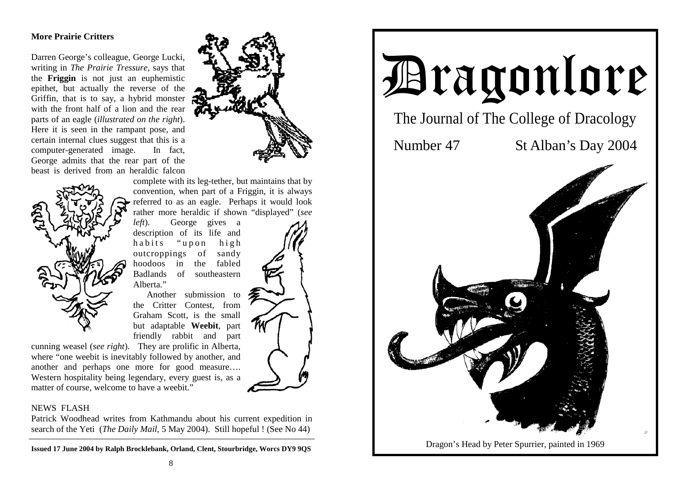# **More Prairie Critters**

Darren George's colleague, George Lucki, writing in *The Prairie Tressure*, says that the **Friggin** is not just an euphemistic epithet, but actually the reverse of the Griffin, that is to say, a hybrid monster with the front half of a lion and the rear parts of an eagle (*illustrated on the right*). Here it is seen in the rampant pose, and certain internal clues suggest that this is a computer-generated image. In fact, George admits that the rear part of the beast is derived from an heraldic falcon





complete with its leg-tether, but maintains that by convention, when part of a Friggin, it is always referred to as an eagle. Perhaps it would look rather more heraldic if shown "displayed" (*see* 

*left*). George gives a description of its life and habits "upon high outcroppings of sandy hoodoos in the fabled Badlands of southeastern Alberta<sup>"</sup>

 Another submission to the Critter Contest, from Graham Scott, is the small but adaptable **Weebit**, par<sup>t</sup> friendly rabbit and part

cunning weasel (*see right*). They are prolific in Alberta, where "one weebit is inevitably followed by another, and another and perhaps one more for good measure…. Western hospitality being legendary, every guest is, as a matter of course, welcome to have a weebit."

## NEWS FLASH

Patrick Woodhead writes from Kathmandu about his current expedition in search of the Yeti (*The Daily Mail*, 5 May 2004). Still hopeful ! (See No 44)

**Issued 17 June 2004 by Ralph Brocklebank, Orland, Clent, Stourbridge, Worcs DY9 9QS**

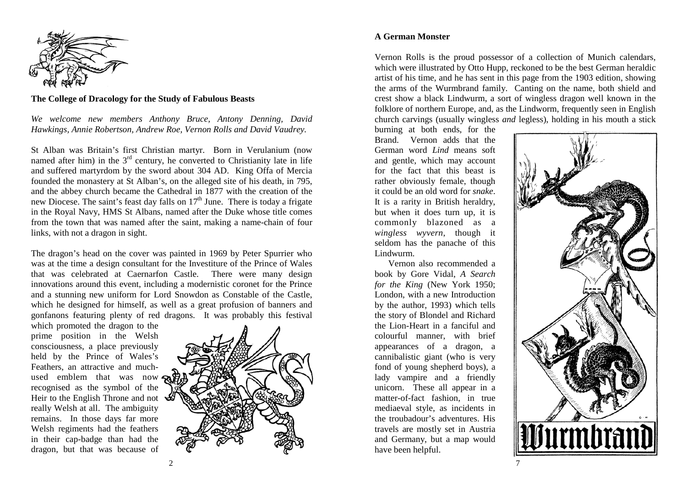

**The College of Dracology for the Study of Fabulous Beasts** 

*We welcome new members Anthony Bruce, Antony Denning, David Hawkings, Annie Robertson, Andrew Roe, Vernon Rolls and David Vaudrey.*

St Alban was Britain's first Christian martyr. Born in Verulanium (now named after him) in the  $3<sup>rd</sup>$  century, he converted to Christianity late in life and suffered martyrdom by the sword about 304 AD. King Offa of Mercia founded the monastery at St Alban's, on the alleged site of his death, in 795, and the abbey church became the Cathedral in 1877 with the creation of the new Diocese. The saint's feast day falls on  $17<sup>th</sup>$  June. There is today a frigate in the Royal Navy, HMS St Albans, named after the Duke whose title comes from the town that was named after the saint, making a name-chain of four links, with not a dragon in sight.

The dragon's head on the cover was painted in 1969 by Peter Spurrier who was at the time a design consultant for the Investiture of the Prince of Wales that was celebrated at Caernarfon Castle. There were many design innovations around this event, including a modernistic coronet for the Prince and a stunning new uniform for Lord Snowdon as Constable of the Castle, which he designed for himself, as well as a great profusion of banners and gonfanons featuring plenty of red dragons. It was probably this festival

which promoted the dragon to the prime position in the Welsh consciousness, a place previously held by the Prince of Wales's Feathers, an attractive and muchused emblem that was now recognised as the symbol of the Heir to the English Throne and not really Welsh at all. The ambiguity remains. In those days far more Welsh regiments had the feathers in their cap-badge than had the dragon, but that was because of



Vernon Rolls is the proud possessor of a collection of Munich calendars, which were illustrated by Otto Hupp, reckoned to be the best German heraldic artist of his time, and he has sent in this page from the 1903 edition, showing the arms of the Wurmbrand family. Canting on the name, both shield and crest show a black Lindwurm, a sort of wingless dragon well known in the folklore of northern Europe, and, as the Lindworm, frequently seen in English church carvings (usually wingless *and* legless), holding in his mouth a stick

burning at both ends, for the Brand. Vernon adds that the German word *Lind* means soft and gentle, which may account for the fact that this beast is rather obviously female, though it could be an old word for *snake*. It is a rarity in British heraldry, but when it does turn up, it is commonly blazoned as a *wingless wyvern*, though it seldom has the panache of this Lindwurm.

 Vernon also recommended a book by Gore Vidal, *A Search for the King* (New York 1950; London, with a new Introduction by the author, 1993) which tells the story of Blondel and Richard the Lion-Heart in a fanciful and colourful manner, with brief appearances of a dragon, a cannibalistic giant (who is very fond of young shepherd boys), a lady vampire and a friendly unicorn. These all appear in a matter-of-fact fashion, in true mediaeval style, as incidents in the troubadour's adventures. His travels are mostly set in Austria and Germany, but a map would have been helpful.

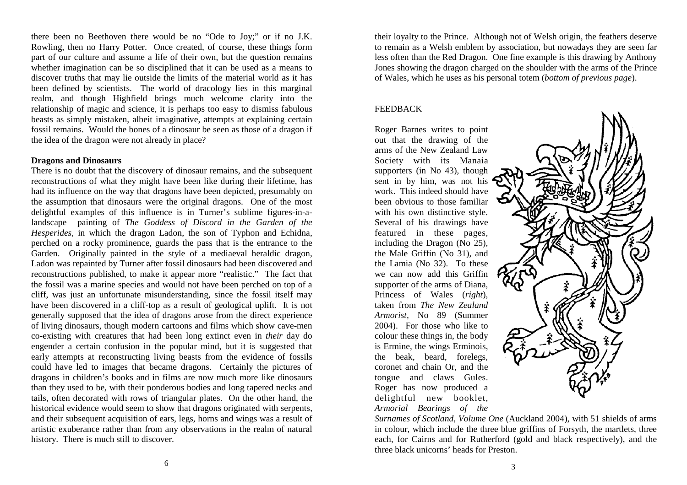there been no Beethoven there would be no "Ode to Joy;" or if no J.K. Rowling, then no Harry Potter. Once created, of course, these things form part of our culture and assume a life of their own, but the question remains whether imagination can be so disciplined that it can be used as a means to discover truths that may lie outside the limits of the material world as it has been defined by scientists. The world of dracology lies in this marginal realm, and though Highfield brings much welcome clarity into the relationship of magic and science, it is perhaps too easy to dismiss fabulous beasts as simply mistaken, albeit imaginative, attempts at explaining certain fossil remains. Would the bones of a dinosaur be seen as those of a dragon if the idea of the dragon were not already in place?

## **Dragons and Dinosaurs**

There is no doubt that the discovery of dinosaur remains, and the subsequent reconstructions of what they might have been like during their lifetime, has had its influence on the way that dragons have been depicted, presumably on the assumption that dinosaurs were the original dragons. One of the most delightful examples of this influence is in Turner's sublime figures-in-alandscape painting of *The Goddess of Discord in the Garden of the Hesperides*, in which the dragon Ladon, the son of Typhon and Echidna, perched on a rocky prominence, guards the pass that is the entrance to the Garden. Originally painted in the style of a mediaeval heraldic dragon, Ladon was repainted by Turner after fossil dinosaurs had been discovered and reconstructions published, to make it appear more "realistic." The fact that the fossil was a marine species and would not have been perched on top of a cliff, was just an unfortunate misunderstanding, since the fossil itself may have been discovered in a cliff-top as a result of geological uplift. It is not generally supposed that the idea of dragons arose from the direct experience of living dinosaurs, though modern cartoons and films which show cave-men co-existing with creatures that had been long extinct even in *their* day do engender a certain confusion in the popular mind, but it is suggested that early attempts at reconstructing living beasts from the evidence of fossils could have led to images that became dragons. Certainly the pictures of dragons in children's books and in films are now much more like dinosaurs than they used to be, with their ponderous bodies and long tapered necks and tails, often decorated with rows of triangular plates. On the other hand, the historical evidence would seem to show that dragons originated with serpents, and their subsequent acquisition of ears, legs, horns and wings was a result of artistic exuberance rather than from any observations in the realm of natural history. There is much still to discover.

their loyalty to the Prince. Although not of Welsh origin, the feathers deserve to remain as a Welsh emblem by association, but nowadays they are seen far less often than the Red Dragon. One fine example is this drawing by Anthony Jones showing the dragon charged on the shoulder with the arms of the Prince of Wales, which he uses as his personal totem (*bottom of previous page*).

### FEEDBACK

Roger Barnes writes to point out that the drawing of the arms of the New Zealand Law Society with its Manaia supporters (in No 43), though sent in by him, was not his work. This indeed should have been obvious to those familiar with his own distinctive style. Several of his drawings have featured in these pages, including the Dragon (No 25), the Male Griffin (No 31), and the Lamia (No 32). To these we can now add this Griffin supporter of the arms of Diana, Princess of Wales (*right*), taken from *The New Zealand Armorist,* No 89 (Summer 2004). For those who like to colour these things in, the body is Ermine, the wings Erminois, the beak, beard, forelegs, coronet and chain Or, and the tongue and claws Gules. Roger has now produced a delightful new booklet, *Armorial Bearings of the* 



*Surnames of Scotland, Volume One* (Auckland 2004), with 51 shields of arms in colour, which include the three blue griffins of Forsyth, the martlets, three each, for Cairns and for Rutherford (gold and black respectively), and the three black unicorns' heads for Preston.